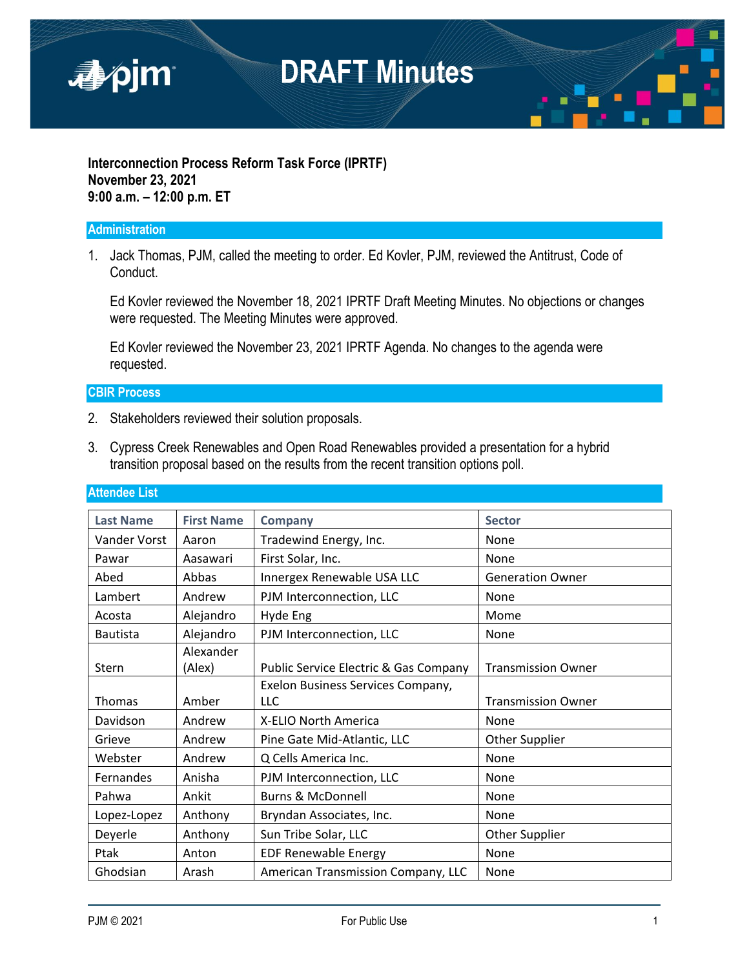

#### **Interconnection Process Reform Task Force (IPRTF) November 23, 2021 9:00 a.m. – 12:00 p.m. ET**

#### **Administration**

1. Jack Thomas, PJM, called the meeting to order. Ed Kovler, PJM, reviewed the Antitrust, Code of Conduct.

Ed Kovler reviewed the November 18, 2021 IPRTF Draft Meeting Minutes. No objections or changes were requested. The Meeting Minutes were approved.

Ed Kovler reviewed the November 23, 2021 IPRTF Agenda. No changes to the agenda were requested.

#### **CBIR Process**

- 2. Stakeholders reviewed their solution proposals.
- 3. Cypress Creek Renewables and Open Road Renewables provided a presentation for a hybrid transition proposal based on the results from the recent transition options poll.

| <b>Last Name</b> | <b>First Name</b>   | <b>Company</b>                        | <b>Sector</b>             |
|------------------|---------------------|---------------------------------------|---------------------------|
| Vander Vorst     | Aaron               | Tradewind Energy, Inc.                | None                      |
| Pawar            | Aasawari            | First Solar, Inc.                     | None                      |
| Abed             | Abbas               | Innergex Renewable USA LLC            | <b>Generation Owner</b>   |
| Lambert          | Andrew              | PJM Interconnection, LLC              | None                      |
| Acosta           | Alejandro           | Hyde Eng                              | Mome                      |
| <b>Bautista</b>  | Alejandro           | PJM Interconnection, LLC              | None                      |
| Stern            | Alexander<br>(Alex) | Public Service Electric & Gas Company | <b>Transmission Owner</b> |
|                  |                     |                                       |                           |
|                  |                     | Exelon Business Services Company,     |                           |
| Thomas           | Amber               | LLC                                   | <b>Transmission Owner</b> |
| Davidson         | Andrew              | X-ELIO North America                  | None                      |
| Grieve           | Andrew              | Pine Gate Mid-Atlantic, LLC           | <b>Other Supplier</b>     |
| Webster          | Andrew              | Q Cells America Inc.                  | None                      |
| Fernandes        | Anisha              | PJM Interconnection, LLC              | None                      |
| Pahwa            | Ankit               | <b>Burns &amp; McDonnell</b>          | None                      |
| Lopez-Lopez      | Anthony             | Bryndan Associates, Inc.              | None                      |
| Deyerle          | Anthony             | Sun Tribe Solar, LLC                  | Other Supplier            |
| Ptak             | Anton               | <b>EDF Renewable Energy</b>           | None                      |
|                  |                     |                                       |                           |

#### **Attendee List**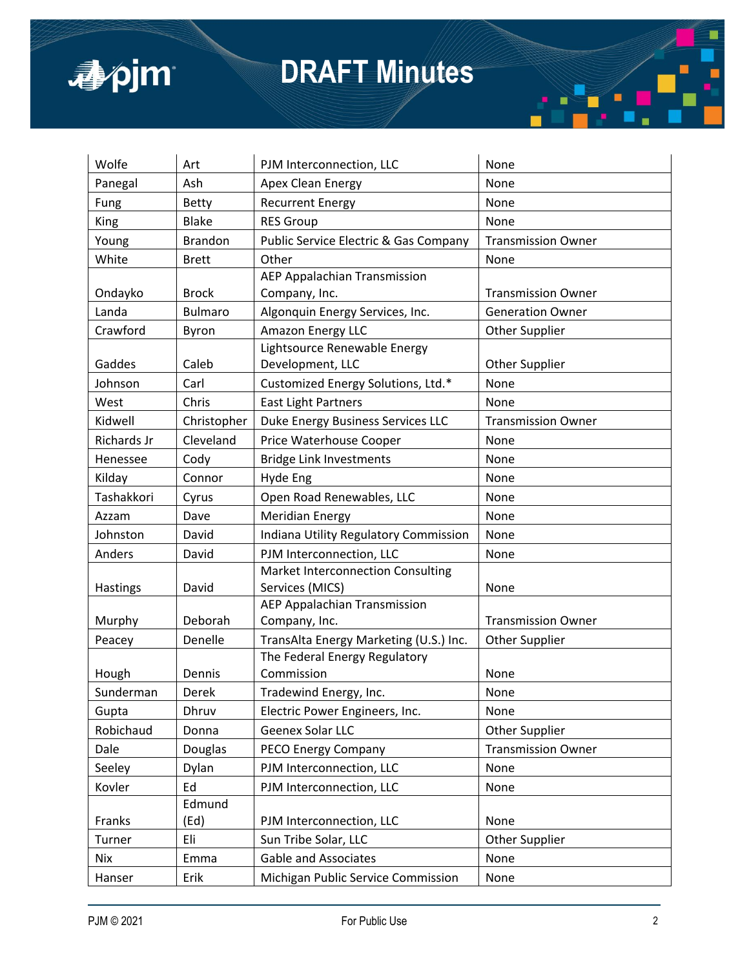

| Wolfe              | Art            | PJM Interconnection, LLC                         | None                      |
|--------------------|----------------|--------------------------------------------------|---------------------------|
| Panegal            | Ash            | Apex Clean Energy                                | None                      |
| Fung               | <b>Betty</b>   | <b>Recurrent Energy</b>                          | None                      |
| <b>King</b>        | <b>Blake</b>   | <b>RES Group</b>                                 | None                      |
| Young              | <b>Brandon</b> | <b>Public Service Electric &amp; Gas Company</b> | <b>Transmission Owner</b> |
| White              | <b>Brett</b>   | Other                                            | None                      |
|                    |                | <b>AEP Appalachian Transmission</b>              |                           |
| Ondayko            | <b>Brock</b>   | Company, Inc.                                    | <b>Transmission Owner</b> |
| Landa              | <b>Bulmaro</b> | Algonquin Energy Services, Inc.                  | <b>Generation Owner</b>   |
| Crawford           | Byron          | Amazon Energy LLC                                | <b>Other Supplier</b>     |
|                    |                | Lightsource Renewable Energy                     |                           |
| Gaddes             | Caleb          | Development, LLC                                 | <b>Other Supplier</b>     |
| Johnson            | Carl           | Customized Energy Solutions, Ltd.*               | None                      |
| West               | Chris          | <b>East Light Partners</b>                       | None                      |
| Kidwell            | Christopher    | Duke Energy Business Services LLC                | <b>Transmission Owner</b> |
| <b>Richards Jr</b> | Cleveland      | Price Waterhouse Cooper                          | None                      |
| Henessee           | Cody           | <b>Bridge Link Investments</b>                   | None                      |
| Kilday             | Connor         | Hyde Eng                                         | None                      |
| Tashakkori         | Cyrus          | Open Road Renewables, LLC                        | None                      |
| Azzam              | Dave           | <b>Meridian Energy</b>                           | None                      |
| Johnston           | David          | Indiana Utility Regulatory Commission            | None                      |
| Anders             | David          | PJM Interconnection, LLC                         | None                      |
|                    |                | <b>Market Interconnection Consulting</b>         |                           |
| Hastings           | David          | Services (MICS)                                  | None                      |
|                    |                | <b>AEP Appalachian Transmission</b>              |                           |
| Murphy             | Deborah        | Company, Inc.                                    | <b>Transmission Owner</b> |
| Peacey             | Denelle        | TransAlta Energy Marketing (U.S.) Inc.           | <b>Other Supplier</b>     |
|                    |                | The Federal Energy Regulatory                    |                           |
| Hough              | Dennis         | Commission                                       | None                      |
| Sunderman          | Derek          | Tradewind Energy, Inc.                           | None                      |
| Gupta              | Dhruv          | Electric Power Engineers, Inc.                   | None                      |
| Robichaud          | Donna          | Geenex Solar LLC                                 | <b>Other Supplier</b>     |
| Dale               | Douglas        | PECO Energy Company                              | <b>Transmission Owner</b> |
| Seeley             | Dylan          | PJM Interconnection, LLC                         | None                      |
| Kovler             | Ed             | PJM Interconnection, LLC                         | None                      |
|                    | Edmund         |                                                  |                           |
| Franks             | (Ed)           | PJM Interconnection, LLC                         | None                      |
| Turner             | Eli            | Sun Tribe Solar, LLC                             | Other Supplier            |
| Nix                | Emma           | Gable and Associates                             | None                      |
| Hanser             | Erik           | Michigan Public Service Commission               | None                      |

п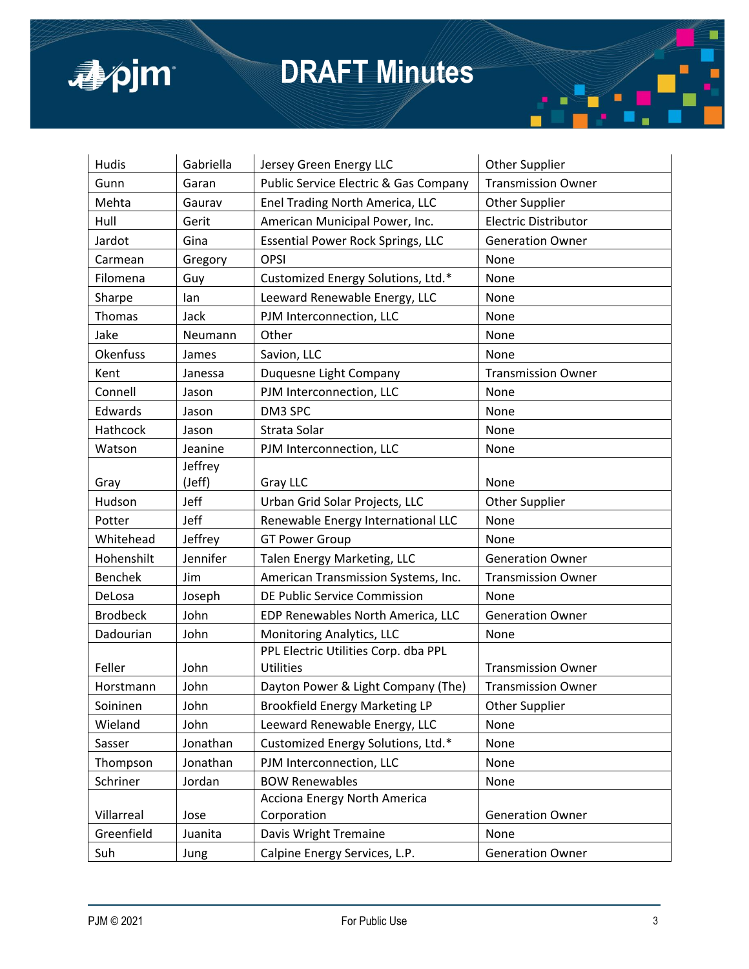

| Hudis           | Gabriella | Jersey Green Energy LLC                  | Other Supplier              |
|-----------------|-----------|------------------------------------------|-----------------------------|
| Gunn            | Garan     | Public Service Electric & Gas Company    | <b>Transmission Owner</b>   |
| Mehta           | Gaurav    | Enel Trading North America, LLC          | Other Supplier              |
| Hull            | Gerit     | American Municipal Power, Inc.           | <b>Electric Distributor</b> |
| Jardot          | Gina      | <b>Essential Power Rock Springs, LLC</b> | <b>Generation Owner</b>     |
| Carmean         | Gregory   | OPSI                                     | None                        |
| Filomena        | Guy       | Customized Energy Solutions, Ltd.*       | None                        |
| Sharpe          | lan       | Leeward Renewable Energy, LLC            | None                        |
| Thomas          | Jack      | PJM Interconnection, LLC                 | None                        |
| Jake            | Neumann   | Other                                    | None                        |
| Okenfuss        | James     | Savion, LLC                              | None                        |
| Kent            | Janessa   | Duquesne Light Company                   | <b>Transmission Owner</b>   |
| Connell         | Jason     | PJM Interconnection, LLC                 | None                        |
| Edwards         | Jason     | DM3 SPC                                  | None                        |
| Hathcock        | Jason     | Strata Solar                             | None                        |
| Watson          | Jeanine   | PJM Interconnection, LLC                 | None                        |
|                 | Jeffrey   |                                          |                             |
| Gray            | (Jeff)    | Gray LLC                                 | None                        |
| Hudson          | Jeff      | Urban Grid Solar Projects, LLC           | <b>Other Supplier</b>       |
| Potter          | Jeff      | Renewable Energy International LLC       | None                        |
| Whitehead       | Jeffrey   | <b>GT Power Group</b>                    | None                        |
| Hohenshilt      | Jennifer  | Talen Energy Marketing, LLC              | <b>Generation Owner</b>     |
| <b>Benchek</b>  | Jim       | American Transmission Systems, Inc.      | <b>Transmission Owner</b>   |
| DeLosa          | Joseph    | DE Public Service Commission             | None                        |
| <b>Brodbeck</b> | John      | EDP Renewables North America, LLC        | <b>Generation Owner</b>     |
| Dadourian       | John      | Monitoring Analytics, LLC                | None                        |
|                 |           | PPL Electric Utilities Corp. dba PPL     |                             |
| Feller          | John      | <b>Utilities</b>                         | <b>Transmission Owner</b>   |
| Horstmann       | John      | Dayton Power & Light Company (The)       | <b>Transmission Owner</b>   |
| Soininen        | John      | Brookfield Energy Marketing LP           | <b>Other Supplier</b>       |
| Wieland         | John      | Leeward Renewable Energy, LLC            | None                        |
| Sasser          | Jonathan  | Customized Energy Solutions, Ltd.*       | None                        |
| Thompson        | Jonathan  | PJM Interconnection, LLC                 | None                        |
| Schriner        | Jordan    | <b>BOW Renewables</b>                    | None                        |
|                 |           | Acciona Energy North America             |                             |
| Villarreal      | Jose      | Corporation                              | <b>Generation Owner</b>     |
| Greenfield      | Juanita   | Davis Wright Tremaine                    | None                        |
| Suh             | Jung      | Calpine Energy Services, L.P.            | <b>Generation Owner</b>     |

п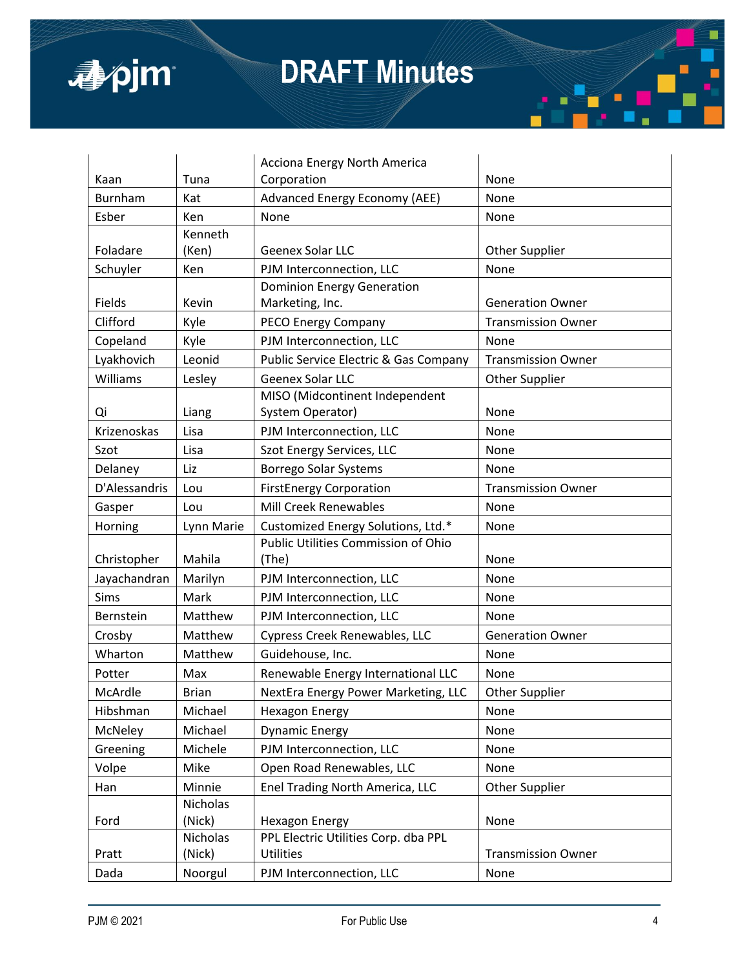

|                |                    | Acciona Energy North America          |                           |
|----------------|--------------------|---------------------------------------|---------------------------|
| Kaan           | Tuna               | Corporation                           | None                      |
| <b>Burnham</b> | Kat                | Advanced Energy Economy (AEE)         | None                      |
| Esber          | Ken                | None                                  | None                      |
|                | Kenneth            |                                       |                           |
| Foladare       | (Ken)              | Geenex Solar LLC                      | <b>Other Supplier</b>     |
| Schuyler       | Ken                | PJM Interconnection, LLC              | None                      |
|                |                    | <b>Dominion Energy Generation</b>     |                           |
| Fields         | Kevin              | Marketing, Inc.                       | <b>Generation Owner</b>   |
| Clifford       | Kyle               | PECO Energy Company                   | <b>Transmission Owner</b> |
| Copeland       | Kyle               | PJM Interconnection, LLC              | None                      |
| Lyakhovich     | Leonid             | Public Service Electric & Gas Company | <b>Transmission Owner</b> |
| Williams       | Lesley             | Geenex Solar LLC                      | Other Supplier            |
|                |                    | MISO (Midcontinent Independent        |                           |
| Qi             | Liang              | System Operator)                      | None                      |
| Krizenoskas    | Lisa               | PJM Interconnection, LLC              | None                      |
| Szot           | Lisa               | Szot Energy Services, LLC             | None                      |
| Delaney        | Liz                | Borrego Solar Systems                 | None                      |
| D'Alessandris  | Lou                | <b>FirstEnergy Corporation</b>        | <b>Transmission Owner</b> |
| Gasper         | Lou                | <b>Mill Creek Renewables</b>          | None                      |
|                | Lynn Marie         | Customized Energy Solutions, Ltd.*    | None                      |
| Horning        |                    |                                       |                           |
|                |                    | Public Utilities Commission of Ohio   |                           |
| Christopher    | Mahila             | (The)                                 | None                      |
| Jayachandran   | Marilyn            | PJM Interconnection, LLC              | None                      |
| Sims           | Mark               | PJM Interconnection, LLC              | None                      |
| Bernstein      | Matthew            | PJM Interconnection, LLC              | None                      |
| Crosby         | Matthew            | Cypress Creek Renewables, LLC         | <b>Generation Owner</b>   |
| Wharton        | Matthew            | Guidehouse, Inc.                      | None                      |
| Potter         | Max                | Renewable Energy International LLC    | None                      |
| McArdle        | <b>Brian</b>       | NextEra Energy Power Marketing, LLC   | <b>Other Supplier</b>     |
| Hibshman       | Michael            | <b>Hexagon Energy</b>                 | None                      |
| McNeley        | Michael            | <b>Dynamic Energy</b>                 | None                      |
| Greening       | Michele            | PJM Interconnection, LLC              | None                      |
|                | Mike               |                                       |                           |
| Volpe          |                    | Open Road Renewables, LLC             | None                      |
| Han            | Minnie<br>Nicholas | Enel Trading North America, LLC       | Other Supplier            |
| Ford           | (Nick)             | <b>Hexagon Energy</b>                 | None                      |
|                | Nicholas           | PPL Electric Utilities Corp. dba PPL  |                           |
| Pratt          | (Nick)             | <b>Utilities</b>                      | <b>Transmission Owner</b> |

г

п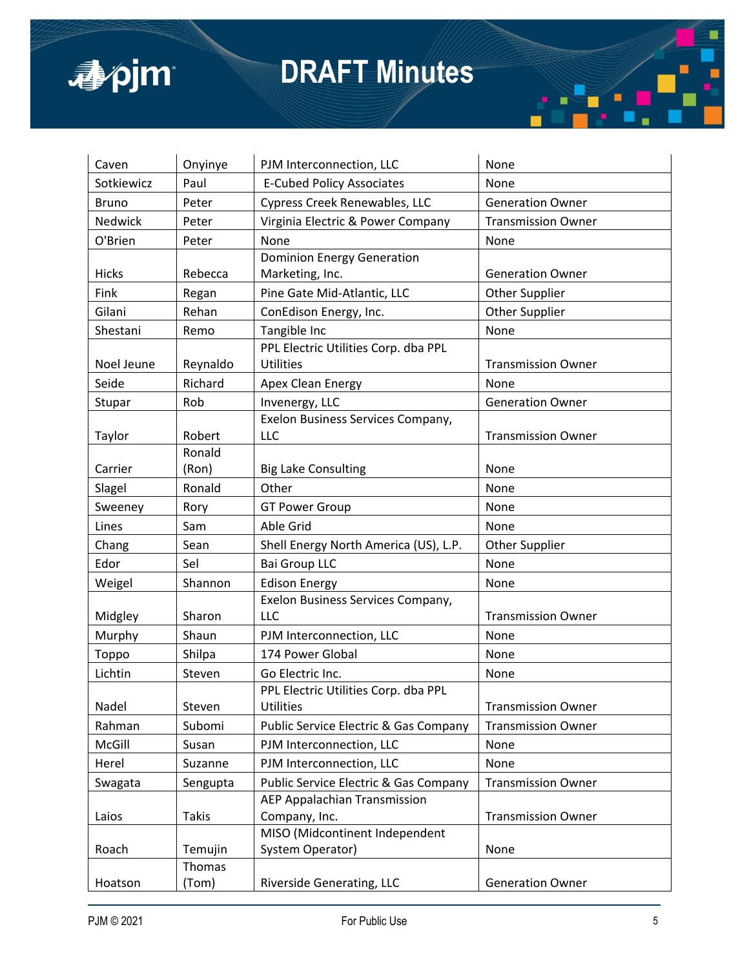

| Caven          | Onyinye      | PJM Interconnection, LLC                         | None                      |
|----------------|--------------|--------------------------------------------------|---------------------------|
| Sotkiewicz     | Paul         | <b>E-Cubed Policy Associates</b>                 | None                      |
| <b>Bruno</b>   | Peter        | Cypress Creek Renewables, LLC                    | <b>Generation Owner</b>   |
| <b>Nedwick</b> | Peter        | Virginia Electric & Power Company                | <b>Transmission Owner</b> |
| O'Brien        | Peter        | None                                             | None                      |
|                |              | <b>Dominion Energy Generation</b>                |                           |
| <b>Hicks</b>   | Rebecca      | Marketing, Inc.                                  | <b>Generation Owner</b>   |
| Fink           | Regan        | Pine Gate Mid-Atlantic, LLC                      | <b>Other Supplier</b>     |
| Gilani         | Rehan        | ConEdison Energy, Inc.                           | Other Supplier            |
| Shestani       | Remo         | Tangible Inc                                     | None                      |
|                |              | PPL Electric Utilities Corp. dba PPL             |                           |
| Noel Jeune     | Reynaldo     | <b>Utilities</b>                                 | <b>Transmission Owner</b> |
| Seide          | Richard      | Apex Clean Energy                                | None                      |
| Stupar         | Rob          | Invenergy, LLC                                   | <b>Generation Owner</b>   |
|                |              | Exelon Business Services Company,                |                           |
| Taylor         | Robert       | LLC                                              | <b>Transmission Owner</b> |
|                | Ronald       |                                                  |                           |
| Carrier        | (Ron)        | <b>Big Lake Consulting</b>                       | None                      |
| Slagel         | Ronald       | Other                                            | None                      |
| Sweeney        | Rory         | <b>GT Power Group</b>                            | None                      |
| Lines          | Sam          | Able Grid                                        | None                      |
| Chang          | Sean         | Shell Energy North America (US), L.P.            | <b>Other Supplier</b>     |
| Edor           | Sel          | <b>Bai Group LLC</b>                             | None                      |
| Weigel         | Shannon      | <b>Edison Energy</b>                             | None                      |
|                |              | Exelon Business Services Company,                |                           |
| Midgley        | Sharon       | LLC                                              | <b>Transmission Owner</b> |
| Murphy         | Shaun        | PJM Interconnection, LLC                         | None                      |
| Toppo          | Shilpa       | 174 Power Global                                 | None                      |
| Lichtin        | Steven       | Go Electric Inc.                                 | None                      |
|                |              | PPL Electric Utilities Corp. dba PPL             |                           |
| Nadel          | Steven       | <b>Utilities</b>                                 | <b>Transmission Owner</b> |
| Rahman         | Subomi       | <b>Public Service Electric &amp; Gas Company</b> | <b>Transmission Owner</b> |
| McGill         | Susan        | PJM Interconnection, LLC                         | None                      |
| Herel          | Suzanne      | PJM Interconnection, LLC                         | None                      |
| Swagata        | Sengupta     | <b>Public Service Electric &amp; Gas Company</b> | <b>Transmission Owner</b> |
|                |              | AEP Appalachian Transmission                     |                           |
| Laios          | <b>Takis</b> | Company, Inc.                                    | <b>Transmission Owner</b> |
|                |              | MISO (Midcontinent Independent                   |                           |
| Roach          | Temujin      | System Operator)                                 | None                      |
|                | Thomas       |                                                  |                           |
| Hoatson        | (Tom)        | Riverside Generating, LLC                        | <b>Generation Owner</b>   |

Г

٠